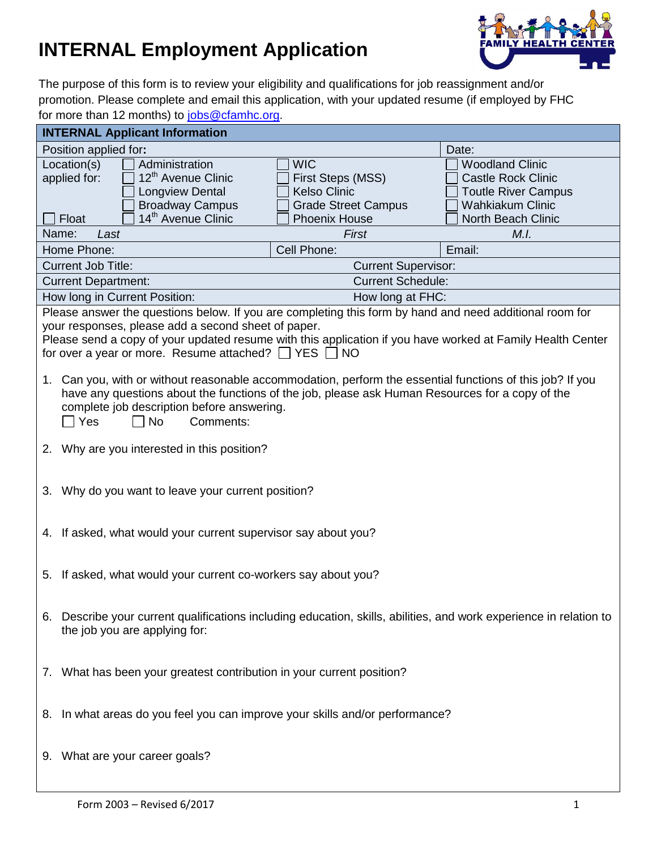## **INTERNAL Employment Application**



The purpose of this form is to review your eligibility and qualifications for job reassignment and/or promotion. Please complete and email this application, with your updated resume (if employed by FHC for more than 12 months) to [jobs@cfamhc.org.](mailto:jobs@cfamhc.org)

| <b>INTERNAL Applicant Information</b>                                                                                 |                                                   |                                                       |
|-----------------------------------------------------------------------------------------------------------------------|---------------------------------------------------|-------------------------------------------------------|
| Position applied for:                                                                                                 |                                                   | Date:                                                 |
| Location(s)<br>Administration                                                                                         | <b>WIC</b>                                        | <b>Woodland Clinic</b>                                |
| 12 <sup>th</sup> Avenue Clinic<br>applied for:                                                                        | First Steps (MSS)                                 | <b>Castle Rock Clinic</b>                             |
| Longview Dental                                                                                                       | <b>Kelso Clinic</b><br><b>Grade Street Campus</b> | <b>Toutle River Campus</b><br><b>Wahkiakum Clinic</b> |
| <b>Broadway Campus</b><br>14 <sup>th</sup> Avenue Clinic<br>Float                                                     | <b>Phoenix House</b>                              | North Beach Clinic                                    |
| Name:<br>Last                                                                                                         | First                                             | M.I.                                                  |
| Home Phone:                                                                                                           | Cell Phone:                                       | Email:                                                |
| <b>Current Job Title:</b>                                                                                             | <b>Current Supervisor:</b>                        |                                                       |
| <b>Current Department:</b>                                                                                            | <b>Current Schedule:</b>                          |                                                       |
| How long in Current Position:                                                                                         | How long at FHC:                                  |                                                       |
| Please answer the questions below. If you are completing this form by hand and need additional room for               |                                                   |                                                       |
| your responses, please add a second sheet of paper.                                                                   |                                                   |                                                       |
| Please send a copy of your updated resume with this application if you have worked at Family Health Center            |                                                   |                                                       |
| for over a year or more. Resume attached? $\Box$ YES $\Box$<br><b>NO</b>                                              |                                                   |                                                       |
| Can you, with or without reasonable accommodation, perform the essential functions of this job? If you<br>1.          |                                                   |                                                       |
| have any questions about the functions of the job, please ask Human Resources for a copy of the                       |                                                   |                                                       |
| complete job description before answering.                                                                            |                                                   |                                                       |
| Yes<br><b>No</b><br>Comments:                                                                                         |                                                   |                                                       |
|                                                                                                                       |                                                   |                                                       |
| 2. Why are you interested in this position?                                                                           |                                                   |                                                       |
|                                                                                                                       |                                                   |                                                       |
| 3. Why do you want to leave your current position?                                                                    |                                                   |                                                       |
|                                                                                                                       |                                                   |                                                       |
|                                                                                                                       |                                                   |                                                       |
| 4. If asked, what would your current supervisor say about you?                                                        |                                                   |                                                       |
|                                                                                                                       |                                                   |                                                       |
| 5. If asked, what would your current co-workers say about you?                                                        |                                                   |                                                       |
|                                                                                                                       |                                                   |                                                       |
|                                                                                                                       |                                                   |                                                       |
| Describe your current qualifications including education, skills, abilities, and work experience in relation to<br>6. |                                                   |                                                       |
| the job you are applying for:                                                                                         |                                                   |                                                       |
|                                                                                                                       |                                                   |                                                       |
|                                                                                                                       |                                                   |                                                       |
| 7. What has been your greatest contribution in your current position?                                                 |                                                   |                                                       |
|                                                                                                                       |                                                   |                                                       |
| In what areas do you feel you can improve your skills and/or performance?<br>8.                                       |                                                   |                                                       |
|                                                                                                                       |                                                   |                                                       |
|                                                                                                                       |                                                   |                                                       |
| 9. What are your career goals?                                                                                        |                                                   |                                                       |
|                                                                                                                       |                                                   |                                                       |